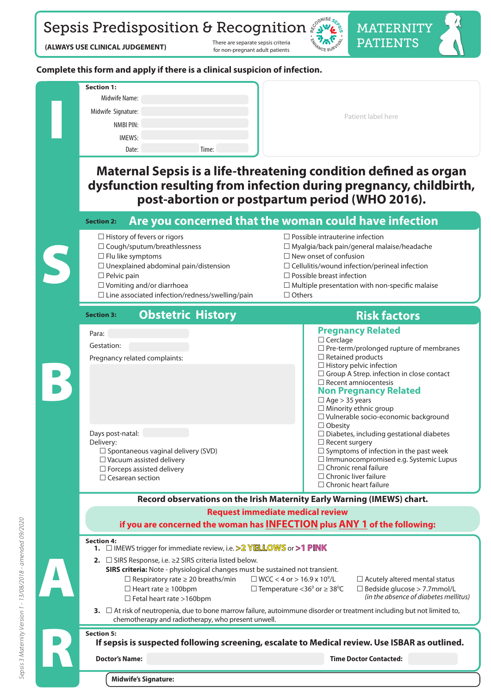Sepsis Predisposition & Recognition

 **(ALWAYS USE CLINICAL JUDGEMENT)** There are separate sepsis criteria

for non-pregnant adult patients



MATERNITY PATIENTS

#### **Complete this form and apply if there is a clinical suspicion of infection.**

| <b>Section 1:</b><br>Midwife Name: |       |                    |
|------------------------------------|-------|--------------------|
| Midwife Signature:                 |       | Patient label here |
| NMBI PIN:                          |       |                    |
| <b>IMEWS:</b>                      |       |                    |
| Date:                              | Time: |                    |

### **Maternal Sepsis is a life-threatening condition defined as organ dysfunction resulting from infection during pregnancy, childbirth, post-abortion or postpartum period (WHO 2016).**

#### **Are you concerned that the woman could have infection Section 2:**

- 
- 
- 
- 
- 

S

B

☐ Cesarean section

- $\Box$  Line associated infection/redness/swelling/pain  $\Box$  Others
- ☐ History of fevers or rigors ☐ Possible intrauterine infection ☐ Cough/sputum/breathlessness ☐ Myalgia/back pain/general malaise/headache ☐ Flu like symptoms ☐ New onset of confusion ☐ Unexplained abdominal pain/distension ☐ Cellulitis/wound infection/perineal infection ☐ Pelvic pain ☐ Possible breast infection ☐ Vomiting and/or diarrhoea ☐ Multiple presentation with non-specic malaise

□ Chronic liver failure □ Chronic heart failure

#### **Obstetric History <b>Risk factors Risk factors Section 3:**

**Pregnancy Related** ☐ Cerclage  $\Box$  Pre-term/prolonged rupture of membranes ☐ Retained products ☐ History pelvic infection □ Group A Strep. infection in close contact ☐ Recent amniocentesis **Non Pregnancy Related**  $\Box$  Age > 35 years  $\Box$  Minority ethnic group ☐ Vulnerable socio-economic background □ Obesity  $\Box$  Diabetes, including gestational diabetes □ Recent surgery  $\Box$  Symptoms of infection in the past week ☐ Immunocompromised e.g. Systemic Lupus ☐ Chronic renal failure Days post-natal: Delivery: ☐ Spontaneous vaginal delivery (SVD) ☐ Vacuum assisted delivery  $\Box$  Forceps assisted delivery Para: Gestation: Pregnancy related complaints:

# **Record observations on the Irish Maternity Early Warning (IMEWS) chart.**

**If sepsis is suspected following screening, escalate to Medical review. Use ISBAR as outlined. 1.** ☐ IMEWS trigger for immediate review, i.e. **>2 YELLOWS** or **>1 PINK 2.** ☐ SIRS Response, i.e. ≥2 SIRS criteria listed below. **SIRS criteria:** Note - physiological changes must be sustained not transient.  $□$  Respiratory rate ≥ 20 breaths/min  $□$  WCC < 4 or > 16.9 x 10<sup>9</sup>/L  $\square$  Acutely altered mental status □ Heart rate ≥ 100bpm  $□$  Temperature <36<sup>0</sup> or  $≥$  38<sup>0</sup>C  $\square$  Bedside glucose > 7.7mmol/L<br>(in the absence of diabetes mellitus) ☐ Fetal heart rate >160bpm *(in the absence of diabetes mellitus)* **3.** ☐ At risk of neutropenia, due to bone marrow failure, autoimmune disorder or treatment including but not limited to, chemotherapy and radiotherapy, who present unwell. **Doctor's Name: Time Doctor Contacted: Request immediate medical review if you are concerned the woman has INFECTION plus ANY 1 of the following: Section 4: Section 5:**  A R

**Midwife's Signature:**